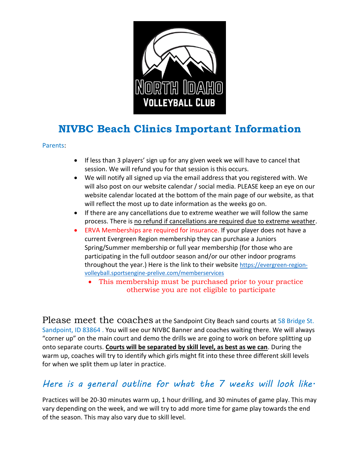

## **NIVBC Beach Clinics Important Information**

## Parents:

- If less than 3 players' sign up for any given week we will have to cancel that session. We will refund you for that session is this occurs.
- We will notify all signed up via the email address that you registered with. We will also post on our website calendar / social media. PLEASE keep an eye on our website calendar located at the bottom of the main page of our website, as that will reflect the most up to date information as the weeks go on.
- If there are any cancellations due to extreme weather we will follow the same process. There is no refund if cancellations are required due to extreme weather.
- ERVA Memberships are required for insurance. If your player does not have a current Evergreen Region membership they can purchase a Juniors Spring/Summer membership or full year membership (for those who are participating in the full outdoor season and/or our other indoor programs throughout the year.) Here is the link to their website [https://evergreen-region](https://evergreen-region-volleyball.sportsengine-prelive.com/memberservices)[volleyball.sportsengine-prelive.com/memberservices](https://evergreen-region-volleyball.sportsengine-prelive.com/memberservices)
	- This membership must be purchased prior to your practice otherwise you are not eligible to participate

Please meet the coaches at the Sandpoint City Beach sand courts at 58 Bridge St. Sandpoint, ID 83864 . You will see our NIVBC Banner and coaches waiting there. We will always "corner up" on the main court and demo the drills we are going to work on before splitting up onto separate courts. **Courts will be separated by skill level, as best as we can**. During the warm up, coaches will try to identify which girls might fit into these three different skill levels for when we split them up later in practice.

## *Here is a general outline for what the 7 weeks will look like.*

Practices will be 20-30 minutes warm up, 1 hour drilling, and 30 minutes of game play. This may vary depending on the week, and we will try to add more time for game play towards the end of the season. This may also vary due to skill level.